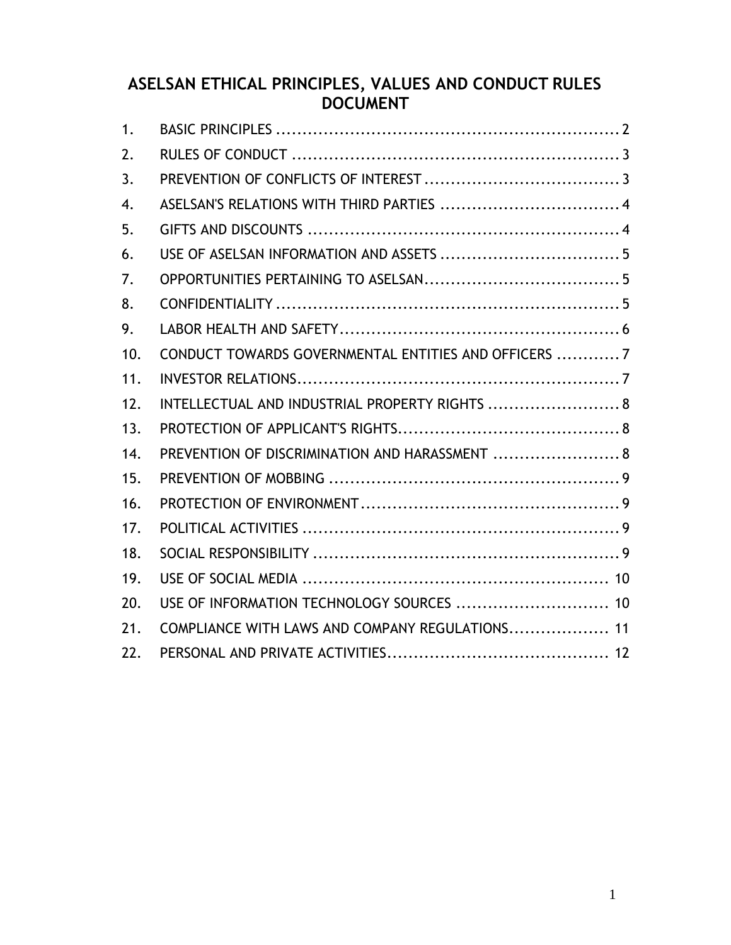# **ASELSAN ETHICAL PRINCIPLES, VALUES AND CONDUCT RULES DOCUMENT**

| 1.  |                                                      |  |
|-----|------------------------------------------------------|--|
| 2.  |                                                      |  |
| 3.  |                                                      |  |
| 4.  | ASELSAN'S RELATIONS WITH THIRD PARTIES  4            |  |
| 5.  |                                                      |  |
| 6.  |                                                      |  |
| 7.  |                                                      |  |
| 8.  |                                                      |  |
| 9.  |                                                      |  |
| 10. | CONDUCT TOWARDS GOVERNMENTAL ENTITIES AND OFFICERS 7 |  |
| 11. |                                                      |  |
| 12. | INTELLECTUAL AND INDUSTRIAL PROPERTY RIGHTS  8       |  |
| 13. |                                                      |  |
| 14. | PREVENTION OF DISCRIMINATION AND HARASSMENT  8       |  |
| 15. |                                                      |  |
| 16. |                                                      |  |
| 17. |                                                      |  |
| 18. |                                                      |  |
| 19. |                                                      |  |
| 20. | USE OF INFORMATION TECHNOLOGY SOURCES  10            |  |
| 21. | COMPLIANCE WITH LAWS AND COMPANY REGULATIONS 11      |  |
| 22. |                                                      |  |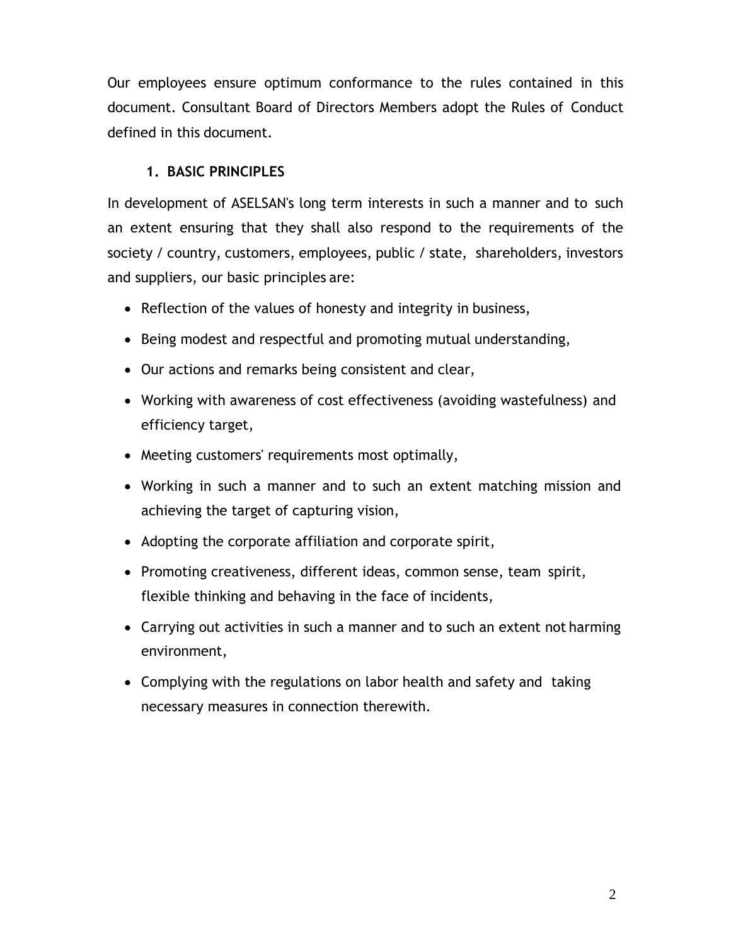Our employees ensure optimum conformance to the rules contained in this document. Consultant Board of Directors Members adopt the Rules of Conduct defined in this document.

### **1. BASIC PRINCIPLES**

<span id="page-1-0"></span>In development of ASELSAN's long term interests in such a manner and to such an extent ensuring that they shall also respond to the requirements of the society / country, customers, employees, public / state, shareholders, investors and suppliers, our basic principles are:

- Reflection of the values of honesty and integrity in business,
- Being modest and respectful and promoting mutual understanding,
- Our actions and remarks being consistent and clear,
- Working with awareness of cost effectiveness (avoiding wastefulness) and efficiency target,
- Meeting customers' requirements most optimally,
- Working in such a manner and to such an extent matching mission and achieving the target of capturing vision,
- Adopting the corporate affiliation and corporate spirit,
- Promoting creativeness, different ideas, common sense, team spirit, flexible thinking and behaving in the face of incidents,
- Carrying out activities in such a manner and to such an extent not harming environment,
- Complying with the regulations on labor health and safety and taking necessary measures in connection therewith.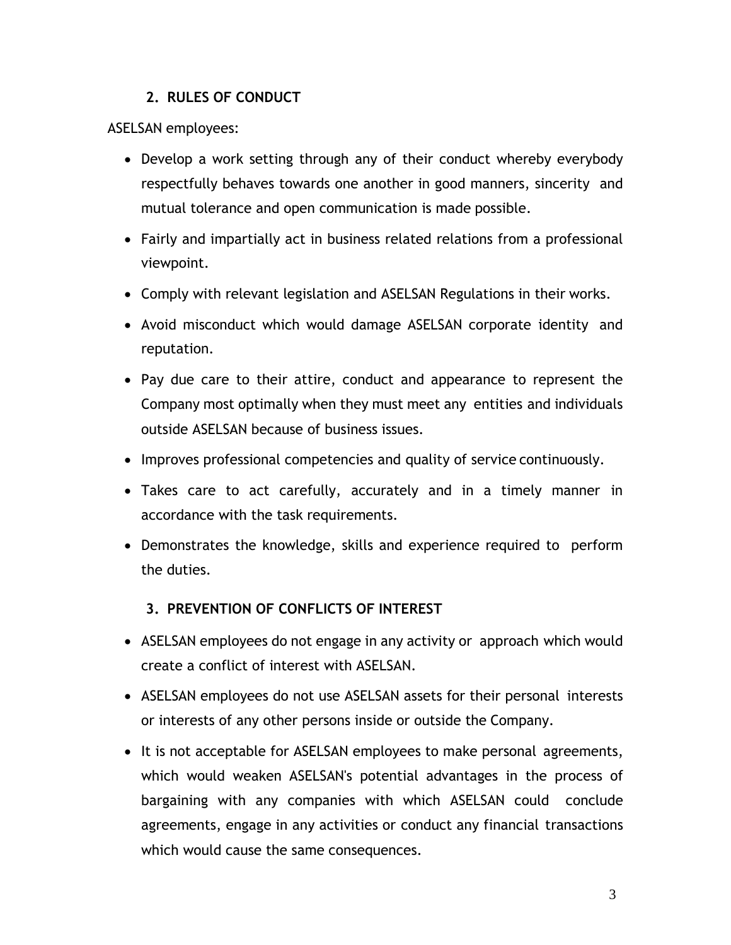### **2. RULES OF CONDUCT**

<span id="page-2-0"></span>ASELSAN employees:

- Develop a work setting through any of their conduct whereby everybody respectfully behaves towards one another in good manners, sincerity and mutual tolerance and open communication is made possible.
- Fairly and impartially act in business related relations from a professional viewpoint.
- Comply with relevant legislation and ASELSAN Regulations in their works.
- Avoid misconduct which would damage ASELSAN corporate identity and reputation.
- Pay due care to their attire, conduct and appearance to represent the Company most optimally when they must meet any entities and individuals outside ASELSAN because of business issues.
- Improves professional competencies and quality of service continuously.
- Takes care to act carefully, accurately and in a timely manner in accordance with the task requirements.
- Demonstrates the knowledge, skills and experience required to perform the duties.

#### **3. PREVENTION OF CONFLICTS OF INTEREST**

- <span id="page-2-1"></span>• ASELSAN employees do not engage in any activity or approach which would create a conflict of interest with ASELSAN.
- ASELSAN employees do not use ASELSAN assets for their personal interests or interests of any other persons inside or outside the Company.
- It is not acceptable for ASELSAN employees to make personal agreements, which would weaken ASELSAN's potential advantages in the process of bargaining with any companies with which ASELSAN could conclude agreements, engage in any activities or conduct any financial transactions which would cause the same consequences.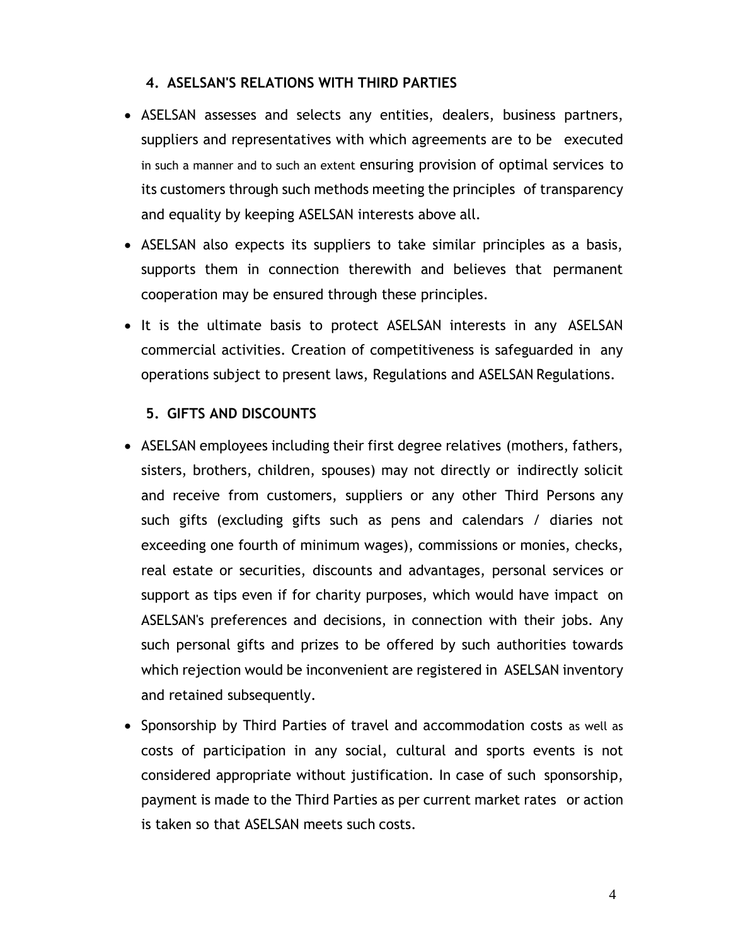#### **4. ASELSAN'S RELATIONS WITH THIRD PARTIES**

- <span id="page-3-0"></span>• ASELSAN assesses and selects any entities, dealers, business partners, suppliers and representatives with which agreements are to be executed in such a manner and to such an extent ensuring provision of optimal services to its customers through such methods meeting the principles of transparency and equality by keeping ASELSAN interests above all.
- ASELSAN also expects its suppliers to take similar principles as a basis, supports them in connection therewith and believes that permanent cooperation may be ensured through these principles.
- It is the ultimate basis to protect ASELSAN interests in any ASELSAN commercial activities. Creation of competitiveness is safeguarded in any operations subject to present laws, Regulations and ASELSAN Regulations.

#### **5. GIFTS AND DISCOUNTS**

- <span id="page-3-1"></span>• ASELSAN employees including their first degree relatives (mothers, fathers, sisters, brothers, children, spouses) may not directly or indirectly solicit and receive from customers, suppliers or any other Third Persons any such gifts (excluding gifts such as pens and calendars / diaries not exceeding one fourth of minimum wages), commissions or monies, checks, real estate or securities, discounts and advantages, personal services or support as tips even if for charity purposes, which would have impact on ASELSAN's preferences and decisions, in connection with their jobs. Any such personal gifts and prizes to be offered by such authorities towards which rejection would be inconvenient are registered in ASELSAN inventory and retained subsequently.
- Sponsorship by Third Parties of travel and accommodation costs as well as costs of participation in any social, cultural and sports events is not considered appropriate without justification. In case of such sponsorship, payment is made to the Third Parties as per current market rates or action is taken so that ASELSAN meets such costs.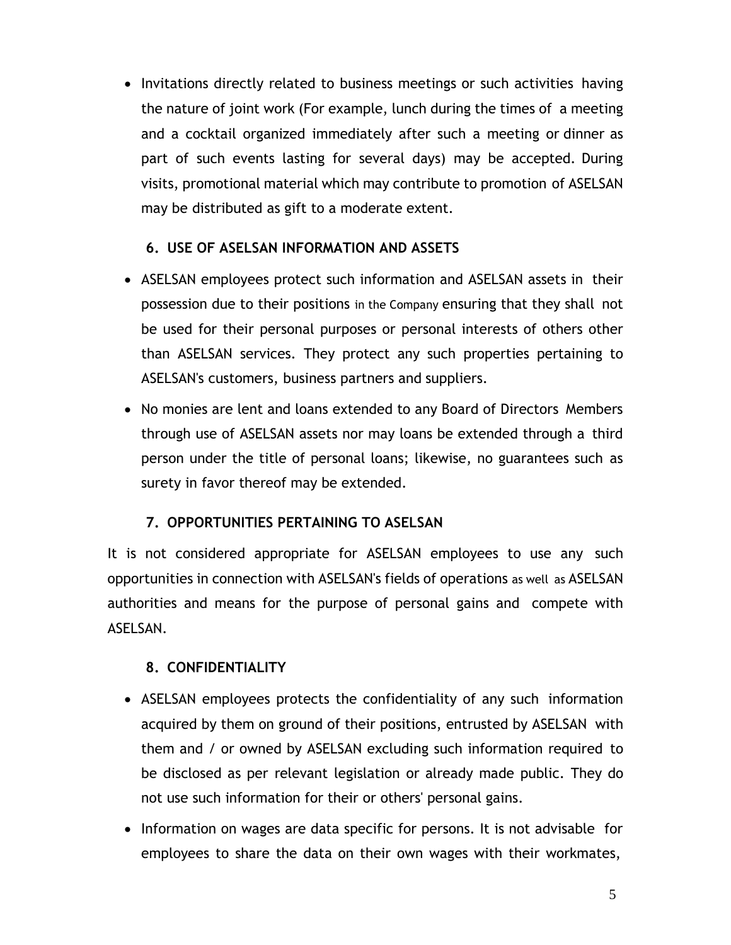• Invitations directly related to business meetings or such activities having the nature of joint work (For example, lunch during the times of a meeting and a cocktail organized immediately after such a meeting or dinner as part of such events lasting for several days) may be accepted. During visits, promotional material which may contribute to promotion of ASELSAN may be distributed as gift to a moderate extent.

### **6. USE OF ASELSAN INFORMATION AND ASSETS**

- <span id="page-4-0"></span>• ASELSAN employees protect such information and ASELSAN assets in their possession due to their positions in the Company ensuring that they shall not be used for their personal purposes or personal interests of others other than ASELSAN services. They protect any such properties pertaining to ASELSAN's customers, business partners and suppliers.
- No monies are lent and loans extended to any Board of Directors Members through use of ASELSAN assets nor may loans be extended through a third person under the title of personal loans; likewise, no guarantees such as surety in favor thereof may be extended.

### **7. OPPORTUNITIES PERTAINING TO ASELSAN**

<span id="page-4-1"></span>It is not considered appropriate for ASELSAN employees to use any such opportunities in connection with ASELSAN's fields of operations as well as ASELSAN authorities and means for the purpose of personal gains and compete with ASELSAN.

### **8. CONFIDENTIALITY**

- <span id="page-4-2"></span>• ASELSAN employees protects the confidentiality of any such information acquired by them on ground of their positions, entrusted by ASELSAN with them and / or owned by ASELSAN excluding such information required to be disclosed as per relevant legislation or already made public. They do not use such information for their or others' personal gains.
- Information on wages are data specific for persons. It is not advisable for employees to share the data on their own wages with their workmates,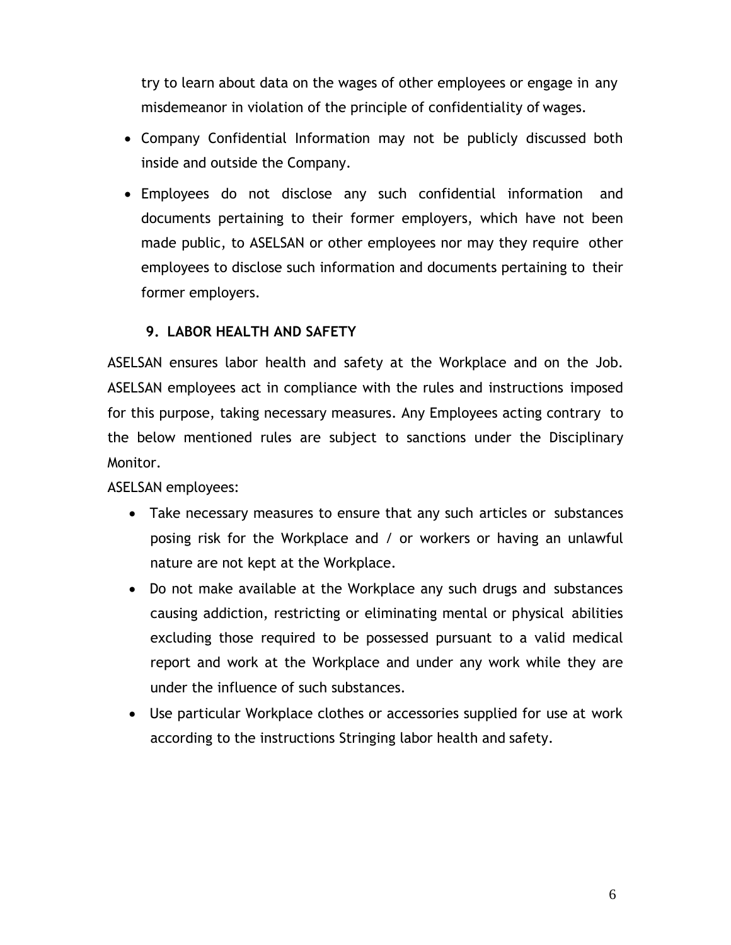try to learn about data on the wages of other employees or engage in any misdemeanor in violation of the principle of confidentiality of wages.

- Company Confidential Information may not be publicly discussed both inside and outside the Company.
- Employees do not disclose any such confidential information and documents pertaining to their former employers, which have not been made public, to ASELSAN or other employees nor may they require other employees to disclose such information and documents pertaining to their former employers.

#### **9. LABOR HEALTH AND SAFETY**

<span id="page-5-0"></span>ASELSAN ensures labor health and safety at the Workplace and on the Job. ASELSAN employees act in compliance with the rules and instructions imposed for this purpose, taking necessary measures. Any Employees acting contrary to the below mentioned rules are subject to sanctions under the Disciplinary Monitor.

ASELSAN employees:

- Take necessary measures to ensure that any such articles or substances posing risk for the Workplace and / or workers or having an unlawful nature are not kept at the Workplace.
- Do not make available at the Workplace any such drugs and substances causing addiction, restricting or eliminating mental or physical abilities excluding those required to be possessed pursuant to a valid medical report and work at the Workplace and under any work while they are under the influence of such substances.
- Use particular Workplace clothes or accessories supplied for use at work according to the instructions Stringing labor health and safety.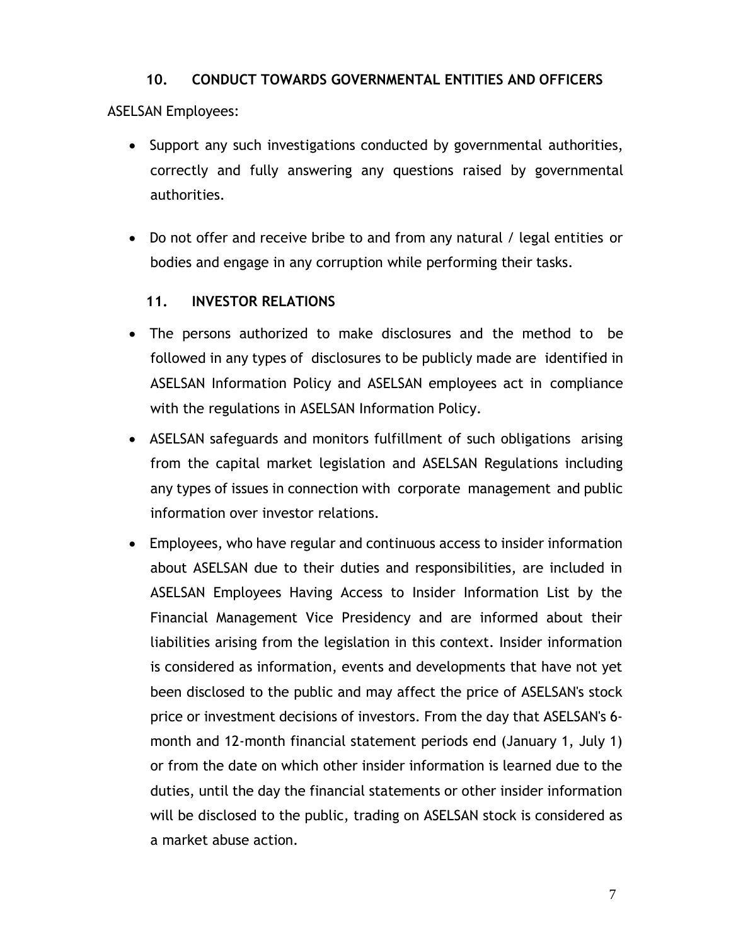#### **10. CONDUCT TOWARDS GOVERNMENTAL ENTITIES AND OFFICERS**

### <span id="page-6-0"></span>ASELSAN Employees:

- Support any such investigations conducted by governmental authorities, correctly and fully answering any questions raised by governmental authorities.
- Do not offer and receive bribe to and from any natural / legal entities or bodies and engage in any corruption while performing their tasks.

### **11. INVESTOR RELATIONS**

- <span id="page-6-1"></span>• The persons authorized to make disclosures and the method to be followed in any types of disclosures to be publicly made are identified in ASELSAN Information Policy and ASELSAN employees act in compliance with the regulations in ASELSAN Information Policy.
- ASELSAN safeguards and monitors fulfillment of such obligations arising from the capital market legislation and ASELSAN Regulations including any types of issues in connection with corporate management and public information over investor relations.
- Employees, who have regular and continuous access to insider information about ASELSAN due to their duties and responsibilities, are included in ASELSAN Employees Having Access to Insider Information List by the Financial Management Vice Presidency and are informed about their liabilities arising from the legislation in this context. Insider information is considered as information, events and developments that have not yet been disclosed to the public and may affect the price of ASELSAN's stock price or investment decisions of investors. From the day that ASELSAN's 6 month and 12-month financial statement periods end (January 1, July 1) or from the date on which other insider information is learned due to the duties, until the day the financial statements or other insider information will be disclosed to the public, trading on ASELSAN stock is considered as a market abuse action.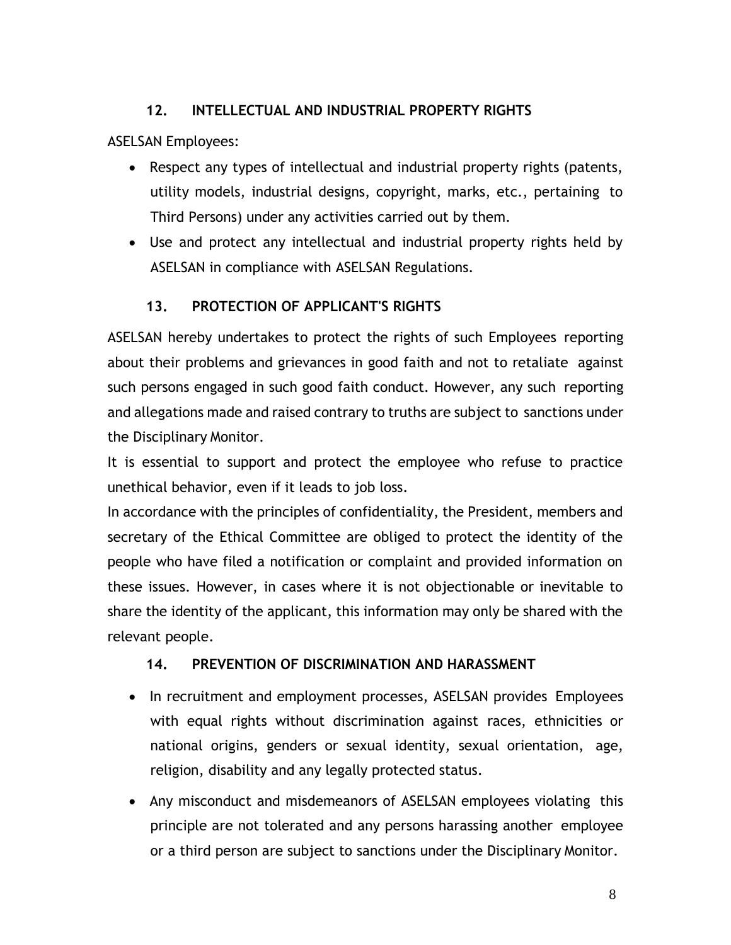### **12. INTELLECTUAL AND INDUSTRIAL PROPERTY RIGHTS**

<span id="page-7-0"></span>ASELSAN Employees:

- Respect any types of intellectual and industrial property rights (patents, utility models, industrial designs, copyright, marks, etc., pertaining to Third Persons) under any activities carried out by them.
- Use and protect any intellectual and industrial property rights held by ASELSAN in compliance with ASELSAN Regulations.

# **13. PROTECTION OF APPLICANT'S RIGHTS**

<span id="page-7-1"></span>ASELSAN hereby undertakes to protect the rights of such Employees reporting about their problems and grievances in good faith and not to retaliate against such persons engaged in such good faith conduct. However, any such reporting and allegations made and raised contrary to truths are subject to sanctions under the Disciplinary Monitor.

It is essential to support and protect the employee who refuse to practice unethical behavior, even if it leads to job loss.

In accordance with the principles of confidentiality, the President, members and secretary of the Ethical Committee are obliged to protect the identity of the people who have filed a notification or complaint and provided information on these issues. However, in cases where it is not objectionable or inevitable to share the identity of the applicant, this information may only be shared with the relevant people.

# **14. PREVENTION OF DISCRIMINATION AND HARASSMENT**

- <span id="page-7-2"></span>• In recruitment and employment processes, ASELSAN provides Employees with equal rights without discrimination against races, ethnicities or national origins, genders or sexual identity, sexual orientation, age, religion, disability and any legally protected status.
- Any misconduct and misdemeanors of ASELSAN employees violating this principle are not tolerated and any persons harassing another employee or a third person are subject to sanctions under the Disciplinary Monitor.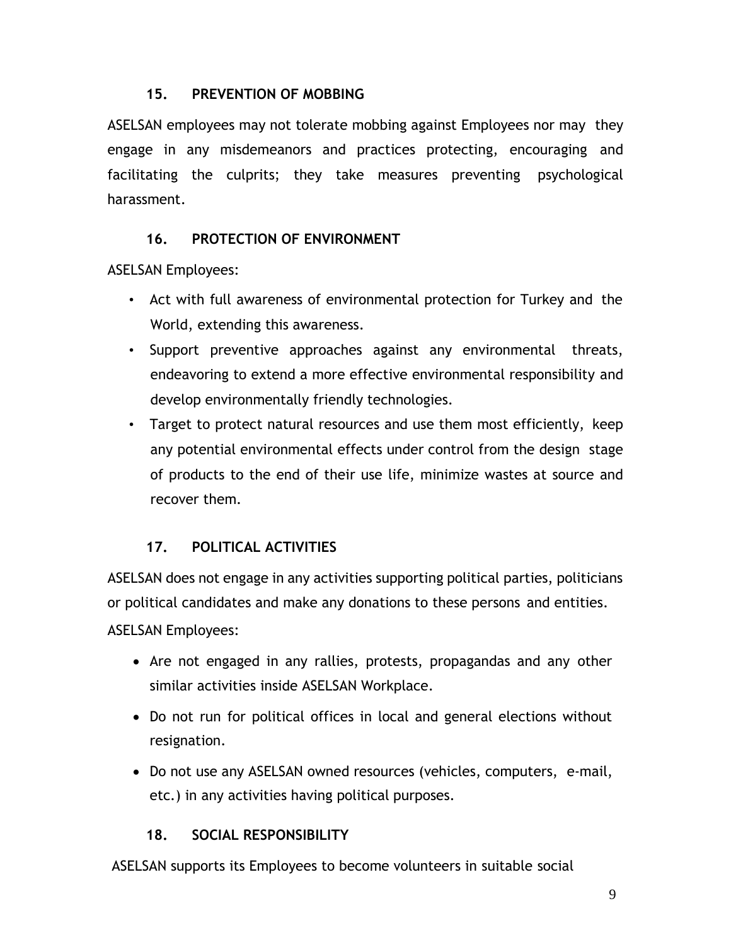#### **15. PREVENTION OF MOBBING**

<span id="page-8-0"></span>ASELSAN employees may not tolerate mobbing against Employees nor may they engage in any misdemeanors and practices protecting, encouraging and facilitating the culprits; they take measures preventing psychological harassment.

### **16. PROTECTION OF ENVIRONMENT**

<span id="page-8-1"></span>ASELSAN Employees:

- Act with full awareness of environmental protection for Turkey and the World, extending this awareness.
- Support preventive approaches against any environmental threats, endeavoring to extend a more effective environmental responsibility and develop environmentally friendly technologies.
- Target to protect natural resources and use them most efficiently, keep any potential environmental effects under control from the design stage of products to the end of their use life, minimize wastes at source and recover them.

# **17. POLITICAL ACTIVITIES**

<span id="page-8-2"></span>ASELSAN does not engage in any activities supporting political parties, politicians or political candidates and make any donations to these persons and entities. ASELSAN Employees:

- Are not engaged in any rallies, protests, propagandas and any other similar activities inside ASELSAN Workplace.
- Do not run for political offices in local and general elections without resignation.
- Do not use any ASELSAN owned resources (vehicles, computers, e-mail, etc.) in any activities having political purposes.

# **18. SOCIAL RESPONSIBILITY**

<span id="page-8-3"></span>ASELSAN supports its Employees to become volunteers in suitable social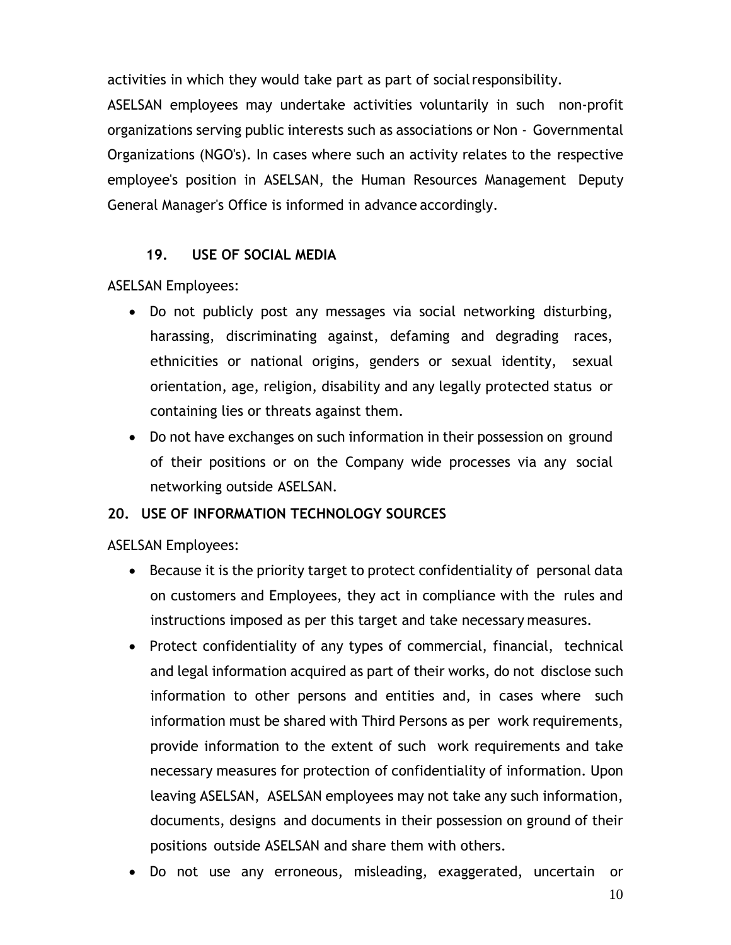activities in which they would take part as part of socialresponsibility.

ASELSAN employees may undertake activities voluntarily in such non-profit organizations serving public interests such as associations or Non - Governmental Organizations (NGO's). In cases where such an activity relates to the respective employee's position in ASELSAN, the Human Resources Management Deputy General Manager's Office is informed in advance accordingly.

### **19. USE OF SOCIAL MEDIA**

<span id="page-9-0"></span>ASELSAN Employees:

- Do not publicly post any messages via social networking disturbing, harassing, discriminating against, defaming and degrading races, ethnicities or national origins, genders or sexual identity, sexual orientation, age, religion, disability and any legally protected status or containing lies or threats against them.
- Do not have exchanges on such information in their possession on ground of their positions or on the Company wide processes via any social networking outside ASELSAN.

# <span id="page-9-1"></span>**20. USE OF INFORMATION TECHNOLOGY SOURCES**

ASELSAN Employees:

- Because it is the priority target to protect confidentiality of personal data on customers and Employees, they act in compliance with the rules and instructions imposed as per this target and take necessary measures.
- Protect confidentiality of any types of commercial, financial, technical and legal information acquired as part of their works, do not disclose such information to other persons and entities and, in cases where such information must be shared with Third Persons as per work requirements, provide information to the extent of such work requirements and take necessary measures for protection of confidentiality of information. Upon leaving ASELSAN, ASELSAN employees may not take any such information, documents, designs and documents in their possession on ground of their positions outside ASELSAN and share them with others.
- Do not use any erroneous, misleading, exaggerated, uncertain or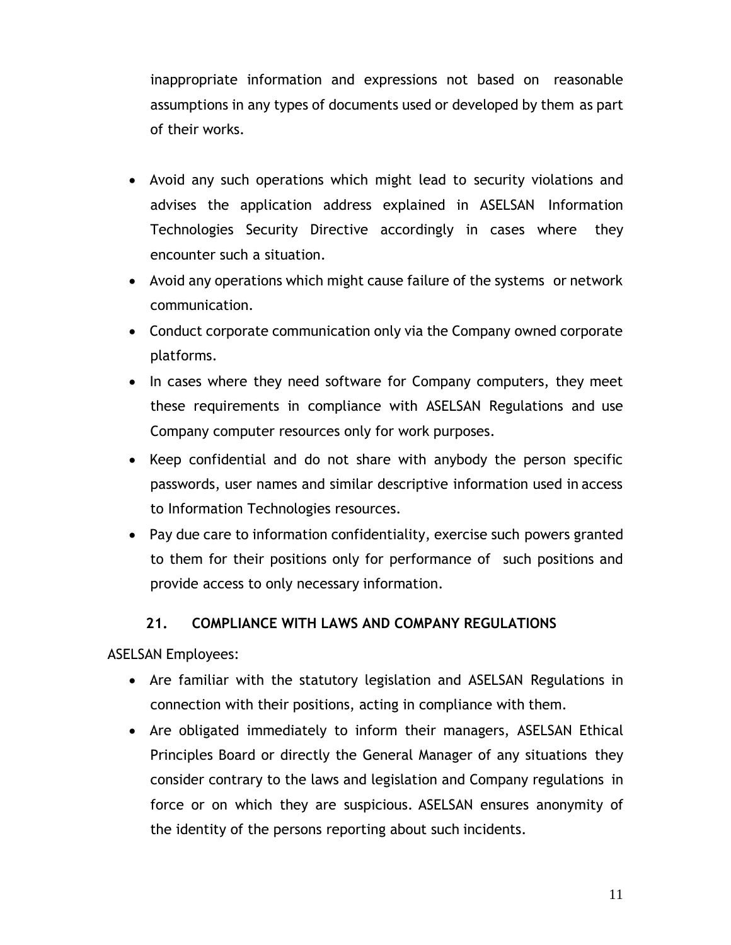inappropriate information and expressions not based on reasonable assumptions in any types of documents used or developed by them as part of their works.

- Avoid any such operations which might lead to security violations and advises the application address explained in ASELSAN Information Technologies Security Directive accordingly in cases where they encounter such a situation.
- Avoid any operations which might cause failure of the systems or network communication.
- Conduct corporate communication only via the Company owned corporate platforms.
- In cases where they need software for Company computers, they meet these requirements in compliance with ASELSAN Regulations and use Company computer resources only for work purposes.
- Keep confidential and do not share with anybody the person specific passwords, user names and similar descriptive information used in access to Information Technologies resources.
- Pay due care to information confidentiality, exercise such powers granted to them for their positions only for performance of such positions and provide access to only necessary information.

# **21. COMPLIANCE WITH LAWS AND COMPANY REGULATIONS**

<span id="page-10-0"></span>ASELSAN Employees:

- Are familiar with the statutory legislation and ASELSAN Regulations in connection with their positions, acting in compliance with them.
- Are obligated immediately to inform their managers, ASELSAN Ethical Principles Board or directly the General Manager of any situations they consider contrary to the laws and legislation and Company regulations in force or on which they are suspicious. ASELSAN ensures anonymity of the identity of the persons reporting about such incidents.